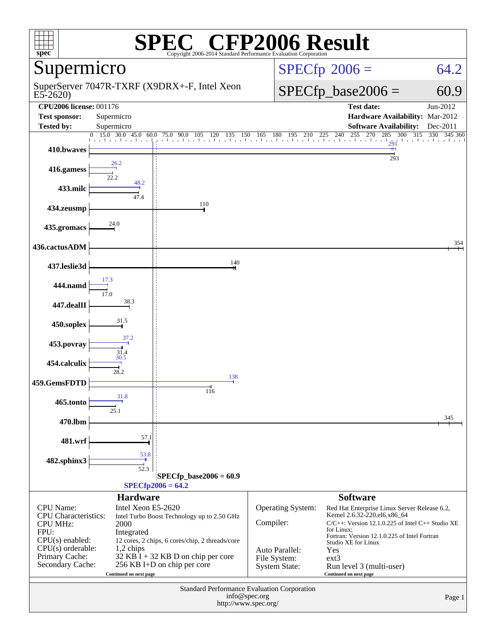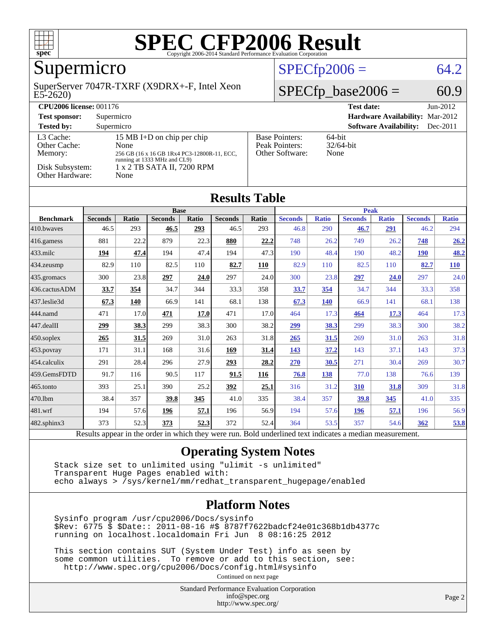

### Supermicro

#### E5-2620) SuperServer 7047R-TXRF (X9DRX+-F, Intel Xeon

#### $SPECfp2006 = 64.2$  $SPECfp2006 = 64.2$

#### $SPECfp\_base2006 = 60.9$

| <b>CPU2006 license: 001176</b>       |                                                                                                                   |                                                            | <b>Test date:</b><br>$Jun-2012$             |
|--------------------------------------|-------------------------------------------------------------------------------------------------------------------|------------------------------------------------------------|---------------------------------------------|
| <b>Test sponsor:</b>                 | Supermicro                                                                                                        | <b>Hardware Availability: Mar-2012</b>                     |                                             |
| <b>Tested by:</b>                    | Supermicro                                                                                                        |                                                            | <b>Software Availability:</b><br>$Dec-2011$ |
| L3 Cache:<br>Other Cache:<br>Memory: | 15 MB I+D on chip per chip<br>None<br>256 GB (16 x 16 GB 1Rx4 PC3-12800R-11, ECC,<br>running at 1333 MHz and CL9) | <b>Base Pointers:</b><br>Peak Pointers:<br>Other Software: | $64$ -bit<br>$32/64$ -bit<br>None           |
| Disk Subsystem:<br>Other Hardware:   | 1 x 2 TB SATA II, 7200 RPM<br>None                                                                                |                                                            |                                             |

| <b>Results Table</b>   |                |              |                |       |                |       |                |              |                |              |                |              |  |
|------------------------|----------------|--------------|----------------|-------|----------------|-------|----------------|--------------|----------------|--------------|----------------|--------------|--|
|                        | <b>Base</b>    |              |                |       |                |       | <b>Peak</b>    |              |                |              |                |              |  |
| <b>Benchmark</b>       | <b>Seconds</b> | <b>Ratio</b> | <b>Seconds</b> | Ratio | <b>Seconds</b> | Ratio | <b>Seconds</b> | <b>Ratio</b> | <b>Seconds</b> | <b>Ratio</b> | <b>Seconds</b> | <b>Ratio</b> |  |
| $ 410$ .bwayes         | 46.5           | 293          | 46.5           | 293   | 46.5           | 293   | 46.8           | 290          | 46.7           | 291          | 46.2           | 294          |  |
| $416$ .gamess          | 881            | 22.2         | 879            | 22.3  | 880            | 22,2  | 748            | 26.2         | 749            | 26.2         | 748            | 26.2         |  |
| $433$ .milc            | 194            | 47.4         | 194            | 47.4  | 194            | 47.3  | 190            | 48.4         | 190            | 48.2         | <b>190</b>     | 48.2         |  |
| $ 434$ . zeusmp        | 82.9           | 110          | 82.5           | 110   | 82.7           | 110   | 82.9           | 110          | 82.5           | 110          | 82.7           | 110          |  |
| $435$ .gromacs         | 300            | 23.8         | 297            | 24.0  | 297            | 24.0  | 300            | 23.8         | 297            | 24.0         | 297            | 24.0         |  |
| 436.cactusADM          | 33.7           | 354          | 34.7           | 344   | 33.3           | 358   | <b>33.7</b>    | 354          | 34.7           | 344          | 33.3           | 358          |  |
| 437.leslie3d           | 67.3           | 140          | 66.9           | 141   | 68.1           | 138   | 67.3           | 140          | 66.9           | 141          | 68.1           | 138          |  |
| 444.namd               | 471            | 17.0         | 471            | 17.0  | 471            | 17.0  | 464            | 17.3         | 464            | 17.3         | 464            | 17.3         |  |
| $ 447 \text{.}$ dealII | 299            | 38.3         | 299            | 38.3  | 300            | 38.2  | <u>299</u>     | 38.3         | 299            | 38.3         | 300            | 38.2         |  |
| $450$ .soplex          | 265            | 31.5         | 269            | 31.0  | 263            | 31.8  | 265            | 31.5         | 269            | 31.0         | 263            | 31.8         |  |
| $ 453$ . povray        | 171            | 31.1         | 168            | 31.6  | 169            | 31.4  | <u>143</u>     | 37.2         | 143            | 37.1         | 143            | 37.3         |  |
| $ 454$ .calculix       | 291            | 28.4         | 296            | 27.9  | 293            | 28.2  | 270            | 30.5         | 271            | 30.4         | 269            | 30.7         |  |
| 459.GemsFDTD           | 91.7           | 116          | 90.5           | 117   | 91.5           | 116   | 76.8           | 138          | 77.0           | 138          | 76.6           | 139          |  |
| $ 465$ .tonto          | 393            | 25.1         | 390            | 25.2  | 392            | 25.1  | 316            | 31.2         | 310            | 31.8         | 309            | 31.8         |  |
| 470.1bm                | 38.4           | 357          | 39.8           | 345   | 41.0           | 335   | 38.4           | 357          | 39.8           | <u>345</u>   | 41.0           | 335          |  |
| 481.wrf                | 194            | 57.6         | 196            | 57.1  | 196            | 56.9  | 194            | 57.6         | 196            | 57.1         | 196            | 56.9         |  |
| $482$ .sphinx $3$      | 373            | 52.3         | 373            | 52.3  | 372            | 52.4  | 364            | 53.5         | 357            | 54.6         | 362            | 53.8         |  |

#### Results appear in the [order in which they were run.](http://www.spec.org/auto/cpu2006/Docs/result-fields.html#RunOrder) Bold underlined text [indicates a median measurement.](http://www.spec.org/auto/cpu2006/Docs/result-fields.html#Median)

#### **[Operating System Notes](http://www.spec.org/auto/cpu2006/Docs/result-fields.html#OperatingSystemNotes)**

 Stack size set to unlimited using "ulimit -s unlimited" Transparent Huge Pages enabled with: echo always > /sys/kernel/mm/redhat\_transparent\_hugepage/enabled

#### **[Platform Notes](http://www.spec.org/auto/cpu2006/Docs/result-fields.html#PlatformNotes)**

 Sysinfo program /usr/cpu2006/Docs/sysinfo \$Rev: 6775 \$ \$Date:: 2011-08-16 #\$ 8787f7622badcf24e01c368b1db4377c running on localhost.localdomain Fri Jun 8 08:16:25 2012

 This section contains SUT (System Under Test) info as seen by some common utilities. To remove or add to this section, see: <http://www.spec.org/cpu2006/Docs/config.html#sysinfo>

Continued on next page

Standard Performance Evaluation Corporation [info@spec.org](mailto:info@spec.org) <http://www.spec.org/>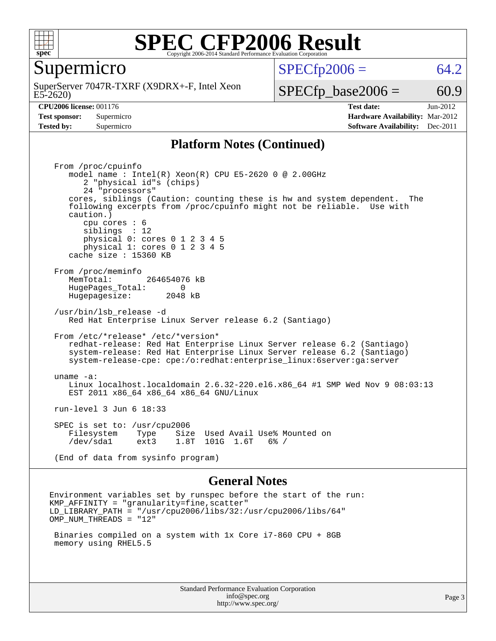

Supermicro

E5-2620) SuperServer 7047R-TXRF (X9DRX+-F, Intel Xeon  $SPECTp2006 = 64.2$ 

 $SPECTp\_base2006 = 60.9$ 

**[CPU2006 license:](http://www.spec.org/auto/cpu2006/Docs/result-fields.html#CPU2006license)** 001176 **[Test date:](http://www.spec.org/auto/cpu2006/Docs/result-fields.html#Testdate)** Jun-2012 **[Test sponsor:](http://www.spec.org/auto/cpu2006/Docs/result-fields.html#Testsponsor)** Supermicro **[Hardware Availability:](http://www.spec.org/auto/cpu2006/Docs/result-fields.html#HardwareAvailability)** Mar-2012 **[Tested by:](http://www.spec.org/auto/cpu2006/Docs/result-fields.html#Testedby)** Supermicro **Supermicro [Software Availability:](http://www.spec.org/auto/cpu2006/Docs/result-fields.html#SoftwareAvailability)** Dec-2011

#### **[Platform Notes \(Continued\)](http://www.spec.org/auto/cpu2006/Docs/result-fields.html#PlatformNotes)**

 From /proc/cpuinfo model name : Intel(R) Xeon(R) CPU E5-2620 0 @ 2.00GHz 2 "physical id"s (chips) 24 "processors" cores, siblings (Caution: counting these is hw and system dependent. The following excerpts from /proc/cpuinfo might not be reliable. Use with caution.) cpu cores : 6 siblings : 12 physical 0: cores 0 1 2 3 4 5 physical 1: cores 0 1 2 3 4 5 cache size : 15360 KB From /proc/meminfo MemTotal: 264654076 kB<br>HugePages Total: 0 HugePages\_Total: 0 Hugepagesize: 2048 kB /usr/bin/lsb\_release -d Red Hat Enterprise Linux Server release 6.2 (Santiago) From /etc/\*release\* /etc/\*version\* redhat-release: Red Hat Enterprise Linux Server release 6.2 (Santiago) system-release: Red Hat Enterprise Linux Server release 6.2 (Santiago) system-release-cpe: cpe:/o:redhat:enterprise\_linux:6server:ga:server uname -a: Linux localhost.localdomain 2.6.32-220.el6.x86\_64 #1 SMP Wed Nov 9 08:03:13 EST 2011 x86\_64 x86\_64 x86\_64 GNU/Linux run-level 3 Jun 6 18:33 SPEC is set to: /usr/cpu2006<br>Filesystem Type Size Used Avail Use% Mounted on /dev/sda1 ext3 1.8T 101G 1.6T 6% / (End of data from sysinfo program)

#### **[General Notes](http://www.spec.org/auto/cpu2006/Docs/result-fields.html#GeneralNotes)**

Environment variables set by runspec before the start of the run:  $KMP_A$ FFINITY = "granularity=fine, scatter" LD\_LIBRARY\_PATH = "/usr/cpu2006/libs/32:/usr/cpu2006/libs/64" OMP\_NUM\_THREADS = "12"

 Binaries compiled on a system with 1x Core i7-860 CPU + 8GB memory using RHEL5.5

> Standard Performance Evaluation Corporation [info@spec.org](mailto:info@spec.org) <http://www.spec.org/>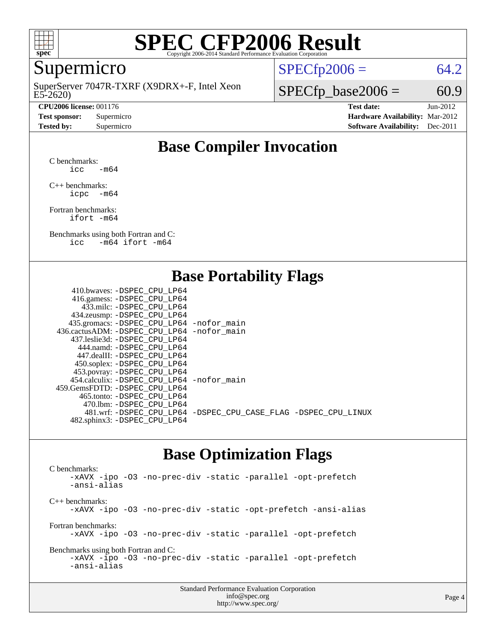

### Supermicro

E5-2620) SuperServer 7047R-TXRF (X9DRX+-F, Intel Xeon

**[CPU2006 license:](http://www.spec.org/auto/cpu2006/Docs/result-fields.html#CPU2006license)** 001176 **[Test date:](http://www.spec.org/auto/cpu2006/Docs/result-fields.html#Testdate)** Jun-2012

 $SPECTp2006 = 64.2$ 

 $SPECTp\_base2006 = 60.9$ 

**[Test sponsor:](http://www.spec.org/auto/cpu2006/Docs/result-fields.html#Testsponsor)** Supermicro **[Hardware Availability:](http://www.spec.org/auto/cpu2006/Docs/result-fields.html#HardwareAvailability)** Mar-2012 **[Tested by:](http://www.spec.org/auto/cpu2006/Docs/result-fields.html#Testedby)** Supermicro **Supermicro [Software Availability:](http://www.spec.org/auto/cpu2006/Docs/result-fields.html#SoftwareAvailability)** Dec-2011

### **[Base Compiler Invocation](http://www.spec.org/auto/cpu2006/Docs/result-fields.html#BaseCompilerInvocation)**

[C benchmarks](http://www.spec.org/auto/cpu2006/Docs/result-fields.html#Cbenchmarks):  $\text{icc}$  -m64

[C++ benchmarks:](http://www.spec.org/auto/cpu2006/Docs/result-fields.html#CXXbenchmarks) [icpc -m64](http://www.spec.org/cpu2006/results/res2012q3/cpu2006-20120614-22887.flags.html#user_CXXbase_intel_icpc_64bit_bedb90c1146cab66620883ef4f41a67e)

[Fortran benchmarks](http://www.spec.org/auto/cpu2006/Docs/result-fields.html#Fortranbenchmarks): [ifort -m64](http://www.spec.org/cpu2006/results/res2012q3/cpu2006-20120614-22887.flags.html#user_FCbase_intel_ifort_64bit_ee9d0fb25645d0210d97eb0527dcc06e)

[Benchmarks using both Fortran and C](http://www.spec.org/auto/cpu2006/Docs/result-fields.html#BenchmarksusingbothFortranandC): [icc -m64](http://www.spec.org/cpu2006/results/res2012q3/cpu2006-20120614-22887.flags.html#user_CC_FCbase_intel_icc_64bit_0b7121f5ab7cfabee23d88897260401c) [ifort -m64](http://www.spec.org/cpu2006/results/res2012q3/cpu2006-20120614-22887.flags.html#user_CC_FCbase_intel_ifort_64bit_ee9d0fb25645d0210d97eb0527dcc06e)

#### **[Base Portability Flags](http://www.spec.org/auto/cpu2006/Docs/result-fields.html#BasePortabilityFlags)**

| 433.milc: -DSPEC CPU LP64<br>434.zeusmp: -DSPEC_CPU_LP64<br>435.gromacs: -DSPEC_CPU_LP64 -nofor_main<br>436.cactusADM: - DSPEC CPU LP64 - nofor main<br>437.leslie3d: -DSPEC CPU LP64<br>444.namd: -DSPEC CPU LP64<br>447.dealII: -DSPEC CPU LP64<br>450.soplex: -DSPEC_CPU_LP64<br>453.povray: -DSPEC_CPU_LP64<br>454.calculix: - DSPEC CPU LP64 - nofor main<br>459.GemsFDTD: - DSPEC_CPU LP64<br>465.tonto: - DSPEC CPU LP64<br>470.1bm: -DSPEC CPU LP64<br>481.wrf: -DSPEC_CPU_LP64 -DSPEC_CPU_CASE_FLAG -DSPEC_CPU_LINUX | 410.bwaves: -DSPEC CPU LP64  |  |
|-------------------------------------------------------------------------------------------------------------------------------------------------------------------------------------------------------------------------------------------------------------------------------------------------------------------------------------------------------------------------------------------------------------------------------------------------------------------------------------------------------------------------------|------------------------------|--|
|                                                                                                                                                                                                                                                                                                                                                                                                                                                                                                                               | 416.gamess: -DSPEC_CPU_LP64  |  |
|                                                                                                                                                                                                                                                                                                                                                                                                                                                                                                                               |                              |  |
|                                                                                                                                                                                                                                                                                                                                                                                                                                                                                                                               |                              |  |
|                                                                                                                                                                                                                                                                                                                                                                                                                                                                                                                               |                              |  |
|                                                                                                                                                                                                                                                                                                                                                                                                                                                                                                                               |                              |  |
|                                                                                                                                                                                                                                                                                                                                                                                                                                                                                                                               |                              |  |
|                                                                                                                                                                                                                                                                                                                                                                                                                                                                                                                               |                              |  |
|                                                                                                                                                                                                                                                                                                                                                                                                                                                                                                                               |                              |  |
|                                                                                                                                                                                                                                                                                                                                                                                                                                                                                                                               |                              |  |
|                                                                                                                                                                                                                                                                                                                                                                                                                                                                                                                               |                              |  |
|                                                                                                                                                                                                                                                                                                                                                                                                                                                                                                                               |                              |  |
|                                                                                                                                                                                                                                                                                                                                                                                                                                                                                                                               |                              |  |
|                                                                                                                                                                                                                                                                                                                                                                                                                                                                                                                               |                              |  |
|                                                                                                                                                                                                                                                                                                                                                                                                                                                                                                                               |                              |  |
|                                                                                                                                                                                                                                                                                                                                                                                                                                                                                                                               |                              |  |
|                                                                                                                                                                                                                                                                                                                                                                                                                                                                                                                               | 482.sphinx3: -DSPEC_CPU_LP64 |  |

#### **[Base Optimization Flags](http://www.spec.org/auto/cpu2006/Docs/result-fields.html#BaseOptimizationFlags)**

[C benchmarks](http://www.spec.org/auto/cpu2006/Docs/result-fields.html#Cbenchmarks): [-xAVX](http://www.spec.org/cpu2006/results/res2012q3/cpu2006-20120614-22887.flags.html#user_CCbase_f-xAVX) [-ipo](http://www.spec.org/cpu2006/results/res2012q3/cpu2006-20120614-22887.flags.html#user_CCbase_f-ipo) [-O3](http://www.spec.org/cpu2006/results/res2012q3/cpu2006-20120614-22887.flags.html#user_CCbase_f-O3) [-no-prec-div](http://www.spec.org/cpu2006/results/res2012q3/cpu2006-20120614-22887.flags.html#user_CCbase_f-no-prec-div) [-static](http://www.spec.org/cpu2006/results/res2012q3/cpu2006-20120614-22887.flags.html#user_CCbase_f-static) [-parallel](http://www.spec.org/cpu2006/results/res2012q3/cpu2006-20120614-22887.flags.html#user_CCbase_f-parallel) [-opt-prefetch](http://www.spec.org/cpu2006/results/res2012q3/cpu2006-20120614-22887.flags.html#user_CCbase_f-opt-prefetch) [-ansi-alias](http://www.spec.org/cpu2006/results/res2012q3/cpu2006-20120614-22887.flags.html#user_CCbase_f-ansi-alias) [C++ benchmarks:](http://www.spec.org/auto/cpu2006/Docs/result-fields.html#CXXbenchmarks) [-xAVX](http://www.spec.org/cpu2006/results/res2012q3/cpu2006-20120614-22887.flags.html#user_CXXbase_f-xAVX) [-ipo](http://www.spec.org/cpu2006/results/res2012q3/cpu2006-20120614-22887.flags.html#user_CXXbase_f-ipo) [-O3](http://www.spec.org/cpu2006/results/res2012q3/cpu2006-20120614-22887.flags.html#user_CXXbase_f-O3) [-no-prec-div](http://www.spec.org/cpu2006/results/res2012q3/cpu2006-20120614-22887.flags.html#user_CXXbase_f-no-prec-div) [-static](http://www.spec.org/cpu2006/results/res2012q3/cpu2006-20120614-22887.flags.html#user_CXXbase_f-static) [-opt-prefetch](http://www.spec.org/cpu2006/results/res2012q3/cpu2006-20120614-22887.flags.html#user_CXXbase_f-opt-prefetch) [-ansi-alias](http://www.spec.org/cpu2006/results/res2012q3/cpu2006-20120614-22887.flags.html#user_CXXbase_f-ansi-alias) [Fortran benchmarks](http://www.spec.org/auto/cpu2006/Docs/result-fields.html#Fortranbenchmarks): [-xAVX](http://www.spec.org/cpu2006/results/res2012q3/cpu2006-20120614-22887.flags.html#user_FCbase_f-xAVX) [-ipo](http://www.spec.org/cpu2006/results/res2012q3/cpu2006-20120614-22887.flags.html#user_FCbase_f-ipo) [-O3](http://www.spec.org/cpu2006/results/res2012q3/cpu2006-20120614-22887.flags.html#user_FCbase_f-O3) [-no-prec-div](http://www.spec.org/cpu2006/results/res2012q3/cpu2006-20120614-22887.flags.html#user_FCbase_f-no-prec-div) [-static](http://www.spec.org/cpu2006/results/res2012q3/cpu2006-20120614-22887.flags.html#user_FCbase_f-static) [-parallel](http://www.spec.org/cpu2006/results/res2012q3/cpu2006-20120614-22887.flags.html#user_FCbase_f-parallel) [-opt-prefetch](http://www.spec.org/cpu2006/results/res2012q3/cpu2006-20120614-22887.flags.html#user_FCbase_f-opt-prefetch) [Benchmarks using both Fortran and C](http://www.spec.org/auto/cpu2006/Docs/result-fields.html#BenchmarksusingbothFortranandC): [-xAVX](http://www.spec.org/cpu2006/results/res2012q3/cpu2006-20120614-22887.flags.html#user_CC_FCbase_f-xAVX) [-ipo](http://www.spec.org/cpu2006/results/res2012q3/cpu2006-20120614-22887.flags.html#user_CC_FCbase_f-ipo) [-O3](http://www.spec.org/cpu2006/results/res2012q3/cpu2006-20120614-22887.flags.html#user_CC_FCbase_f-O3) [-no-prec-div](http://www.spec.org/cpu2006/results/res2012q3/cpu2006-20120614-22887.flags.html#user_CC_FCbase_f-no-prec-div) [-static](http://www.spec.org/cpu2006/results/res2012q3/cpu2006-20120614-22887.flags.html#user_CC_FCbase_f-static) [-parallel](http://www.spec.org/cpu2006/results/res2012q3/cpu2006-20120614-22887.flags.html#user_CC_FCbase_f-parallel) [-opt-prefetch](http://www.spec.org/cpu2006/results/res2012q3/cpu2006-20120614-22887.flags.html#user_CC_FCbase_f-opt-prefetch) [-ansi-alias](http://www.spec.org/cpu2006/results/res2012q3/cpu2006-20120614-22887.flags.html#user_CC_FCbase_f-ansi-alias)

| <b>Standard Performance Evaluation Corporation</b> |  |
|----------------------------------------------------|--|
| info@spec.org                                      |  |
| http://www.spec.org/                               |  |

#### Page 4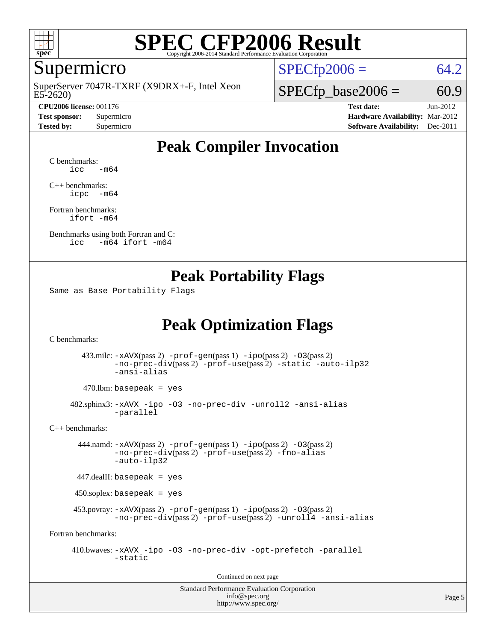

#### Supermicro

E5-2620) SuperServer 7047R-TXRF (X9DRX+-F, Intel Xeon

**[CPU2006 license:](http://www.spec.org/auto/cpu2006/Docs/result-fields.html#CPU2006license)** 001176 **[Test date:](http://www.spec.org/auto/cpu2006/Docs/result-fields.html#Testdate)** Jun-2012

 $SPECTp2006 = 64.2$ 

 $SPECTp\_base2006 = 60.9$ 

**[Test sponsor:](http://www.spec.org/auto/cpu2006/Docs/result-fields.html#Testsponsor)** Supermicro **[Hardware Availability:](http://www.spec.org/auto/cpu2006/Docs/result-fields.html#HardwareAvailability)** Mar-2012 **[Tested by:](http://www.spec.org/auto/cpu2006/Docs/result-fields.html#Testedby)** Supermicro **Supermicro [Software Availability:](http://www.spec.org/auto/cpu2006/Docs/result-fields.html#SoftwareAvailability)** Dec-2011

### **[Peak Compiler Invocation](http://www.spec.org/auto/cpu2006/Docs/result-fields.html#PeakCompilerInvocation)**

[C benchmarks](http://www.spec.org/auto/cpu2006/Docs/result-fields.html#Cbenchmarks):  $\text{icc}$   $-\text{m64}$ 

[C++ benchmarks:](http://www.spec.org/auto/cpu2006/Docs/result-fields.html#CXXbenchmarks) [icpc -m64](http://www.spec.org/cpu2006/results/res2012q3/cpu2006-20120614-22887.flags.html#user_CXXpeak_intel_icpc_64bit_bedb90c1146cab66620883ef4f41a67e)

[Fortran benchmarks](http://www.spec.org/auto/cpu2006/Docs/result-fields.html#Fortranbenchmarks): [ifort -m64](http://www.spec.org/cpu2006/results/res2012q3/cpu2006-20120614-22887.flags.html#user_FCpeak_intel_ifort_64bit_ee9d0fb25645d0210d97eb0527dcc06e)

[Benchmarks using both Fortran and C](http://www.spec.org/auto/cpu2006/Docs/result-fields.html#BenchmarksusingbothFortranandC): [icc -m64](http://www.spec.org/cpu2006/results/res2012q3/cpu2006-20120614-22887.flags.html#user_CC_FCpeak_intel_icc_64bit_0b7121f5ab7cfabee23d88897260401c) [ifort -m64](http://www.spec.org/cpu2006/results/res2012q3/cpu2006-20120614-22887.flags.html#user_CC_FCpeak_intel_ifort_64bit_ee9d0fb25645d0210d97eb0527dcc06e)

#### **[Peak Portability Flags](http://www.spec.org/auto/cpu2006/Docs/result-fields.html#PeakPortabilityFlags)**

Same as Base Portability Flags

### **[Peak Optimization Flags](http://www.spec.org/auto/cpu2006/Docs/result-fields.html#PeakOptimizationFlags)**

[C benchmarks](http://www.spec.org/auto/cpu2006/Docs/result-fields.html#Cbenchmarks):

 433.milc: [-xAVX](http://www.spec.org/cpu2006/results/res2012q3/cpu2006-20120614-22887.flags.html#user_peakPASS2_CFLAGSPASS2_LDFLAGS433_milc_f-xAVX)(pass 2) [-prof-gen](http://www.spec.org/cpu2006/results/res2012q3/cpu2006-20120614-22887.flags.html#user_peakPASS1_CFLAGSPASS1_LDFLAGS433_milc_prof_gen_e43856698f6ca7b7e442dfd80e94a8fc)(pass 1) [-ipo](http://www.spec.org/cpu2006/results/res2012q3/cpu2006-20120614-22887.flags.html#user_peakPASS2_CFLAGSPASS2_LDFLAGS433_milc_f-ipo)(pass 2) [-O3](http://www.spec.org/cpu2006/results/res2012q3/cpu2006-20120614-22887.flags.html#user_peakPASS2_CFLAGSPASS2_LDFLAGS433_milc_f-O3)(pass 2) [-no-prec-div](http://www.spec.org/cpu2006/results/res2012q3/cpu2006-20120614-22887.flags.html#user_peakPASS2_CFLAGSPASS2_LDFLAGS433_milc_f-no-prec-div)(pass 2) [-prof-use](http://www.spec.org/cpu2006/results/res2012q3/cpu2006-20120614-22887.flags.html#user_peakPASS2_CFLAGSPASS2_LDFLAGS433_milc_prof_use_bccf7792157ff70d64e32fe3e1250b55)(pass 2) [-static](http://www.spec.org/cpu2006/results/res2012q3/cpu2006-20120614-22887.flags.html#user_peakOPTIMIZE433_milc_f-static) [-auto-ilp32](http://www.spec.org/cpu2006/results/res2012q3/cpu2006-20120614-22887.flags.html#user_peakCOPTIMIZE433_milc_f-auto-ilp32) [-ansi-alias](http://www.spec.org/cpu2006/results/res2012q3/cpu2006-20120614-22887.flags.html#user_peakCOPTIMIZE433_milc_f-ansi-alias)

 $470.$ lbm: basepeak = yes

 482.sphinx3: [-xAVX](http://www.spec.org/cpu2006/results/res2012q3/cpu2006-20120614-22887.flags.html#user_peakOPTIMIZE482_sphinx3_f-xAVX) [-ipo](http://www.spec.org/cpu2006/results/res2012q3/cpu2006-20120614-22887.flags.html#user_peakOPTIMIZE482_sphinx3_f-ipo) [-O3](http://www.spec.org/cpu2006/results/res2012q3/cpu2006-20120614-22887.flags.html#user_peakOPTIMIZE482_sphinx3_f-O3) [-no-prec-div](http://www.spec.org/cpu2006/results/res2012q3/cpu2006-20120614-22887.flags.html#user_peakOPTIMIZE482_sphinx3_f-no-prec-div) [-unroll2](http://www.spec.org/cpu2006/results/res2012q3/cpu2006-20120614-22887.flags.html#user_peakCOPTIMIZE482_sphinx3_f-unroll_784dae83bebfb236979b41d2422d7ec2) [-ansi-alias](http://www.spec.org/cpu2006/results/res2012q3/cpu2006-20120614-22887.flags.html#user_peakCOPTIMIZE482_sphinx3_f-ansi-alias) [-parallel](http://www.spec.org/cpu2006/results/res2012q3/cpu2006-20120614-22887.flags.html#user_peakCOPTIMIZE482_sphinx3_f-parallel)

[C++ benchmarks:](http://www.spec.org/auto/cpu2006/Docs/result-fields.html#CXXbenchmarks)

 444.namd: [-xAVX](http://www.spec.org/cpu2006/results/res2012q3/cpu2006-20120614-22887.flags.html#user_peakPASS2_CXXFLAGSPASS2_LDFLAGS444_namd_f-xAVX)(pass 2) [-prof-gen](http://www.spec.org/cpu2006/results/res2012q3/cpu2006-20120614-22887.flags.html#user_peakPASS1_CXXFLAGSPASS1_LDFLAGS444_namd_prof_gen_e43856698f6ca7b7e442dfd80e94a8fc)(pass 1) [-ipo](http://www.spec.org/cpu2006/results/res2012q3/cpu2006-20120614-22887.flags.html#user_peakPASS2_CXXFLAGSPASS2_LDFLAGS444_namd_f-ipo)(pass 2) [-O3](http://www.spec.org/cpu2006/results/res2012q3/cpu2006-20120614-22887.flags.html#user_peakPASS2_CXXFLAGSPASS2_LDFLAGS444_namd_f-O3)(pass 2) [-no-prec-div](http://www.spec.org/cpu2006/results/res2012q3/cpu2006-20120614-22887.flags.html#user_peakPASS2_CXXFLAGSPASS2_LDFLAGS444_namd_f-no-prec-div)(pass 2) [-prof-use](http://www.spec.org/cpu2006/results/res2012q3/cpu2006-20120614-22887.flags.html#user_peakPASS2_CXXFLAGSPASS2_LDFLAGS444_namd_prof_use_bccf7792157ff70d64e32fe3e1250b55)(pass 2) [-fno-alias](http://www.spec.org/cpu2006/results/res2012q3/cpu2006-20120614-22887.flags.html#user_peakCXXOPTIMIZEOPTIMIZE444_namd_f-no-alias_694e77f6c5a51e658e82ccff53a9e63a) [-auto-ilp32](http://www.spec.org/cpu2006/results/res2012q3/cpu2006-20120614-22887.flags.html#user_peakCXXOPTIMIZE444_namd_f-auto-ilp32)

447.dealII: basepeak = yes

450.soplex: basepeak = yes

 453.povray: [-xAVX](http://www.spec.org/cpu2006/results/res2012q3/cpu2006-20120614-22887.flags.html#user_peakPASS2_CXXFLAGSPASS2_LDFLAGS453_povray_f-xAVX)(pass 2) [-prof-gen](http://www.spec.org/cpu2006/results/res2012q3/cpu2006-20120614-22887.flags.html#user_peakPASS1_CXXFLAGSPASS1_LDFLAGS453_povray_prof_gen_e43856698f6ca7b7e442dfd80e94a8fc)(pass 1) [-ipo](http://www.spec.org/cpu2006/results/res2012q3/cpu2006-20120614-22887.flags.html#user_peakPASS2_CXXFLAGSPASS2_LDFLAGS453_povray_f-ipo)(pass 2) [-O3](http://www.spec.org/cpu2006/results/res2012q3/cpu2006-20120614-22887.flags.html#user_peakPASS2_CXXFLAGSPASS2_LDFLAGS453_povray_f-O3)(pass 2) [-no-prec-div](http://www.spec.org/cpu2006/results/res2012q3/cpu2006-20120614-22887.flags.html#user_peakPASS2_CXXFLAGSPASS2_LDFLAGS453_povray_f-no-prec-div)(pass 2) [-prof-use](http://www.spec.org/cpu2006/results/res2012q3/cpu2006-20120614-22887.flags.html#user_peakPASS2_CXXFLAGSPASS2_LDFLAGS453_povray_prof_use_bccf7792157ff70d64e32fe3e1250b55)(pass 2) [-unroll4](http://www.spec.org/cpu2006/results/res2012q3/cpu2006-20120614-22887.flags.html#user_peakCXXOPTIMIZE453_povray_f-unroll_4e5e4ed65b7fd20bdcd365bec371b81f) [-ansi-alias](http://www.spec.org/cpu2006/results/res2012q3/cpu2006-20120614-22887.flags.html#user_peakCXXOPTIMIZE453_povray_f-ansi-alias)

[Fortran benchmarks](http://www.spec.org/auto/cpu2006/Docs/result-fields.html#Fortranbenchmarks):

 410.bwaves: [-xAVX](http://www.spec.org/cpu2006/results/res2012q3/cpu2006-20120614-22887.flags.html#user_peakOPTIMIZE410_bwaves_f-xAVX) [-ipo](http://www.spec.org/cpu2006/results/res2012q3/cpu2006-20120614-22887.flags.html#user_peakOPTIMIZE410_bwaves_f-ipo) [-O3](http://www.spec.org/cpu2006/results/res2012q3/cpu2006-20120614-22887.flags.html#user_peakOPTIMIZE410_bwaves_f-O3) [-no-prec-div](http://www.spec.org/cpu2006/results/res2012q3/cpu2006-20120614-22887.flags.html#user_peakOPTIMIZE410_bwaves_f-no-prec-div) [-opt-prefetch](http://www.spec.org/cpu2006/results/res2012q3/cpu2006-20120614-22887.flags.html#user_peakOPTIMIZE410_bwaves_f-opt-prefetch) [-parallel](http://www.spec.org/cpu2006/results/res2012q3/cpu2006-20120614-22887.flags.html#user_peakOPTIMIZE410_bwaves_f-parallel) [-static](http://www.spec.org/cpu2006/results/res2012q3/cpu2006-20120614-22887.flags.html#user_peakOPTIMIZE410_bwaves_f-static)

Continued on next page

Standard Performance Evaluation Corporation [info@spec.org](mailto:info@spec.org) <http://www.spec.org/>